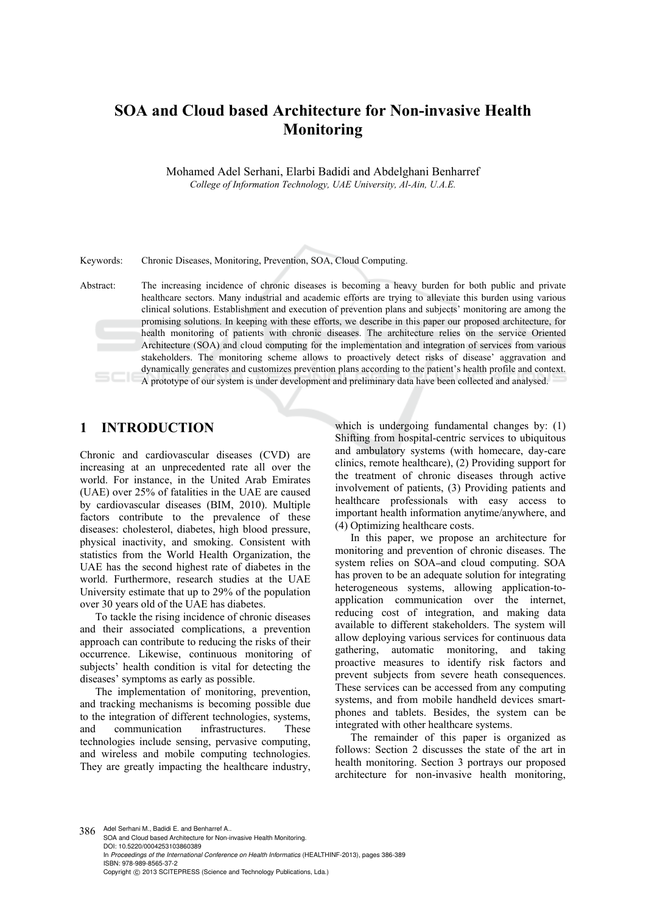# **SOA and Cloud based Architecture for Non-invasive Health Monitoring**

Mohamed Adel Serhani, Elarbi Badidi and Abdelghani Benharref *College of Information Technology, UAE University, Al-Ain, U.A.E.* 

Keywords: Chronic Diseases, Monitoring, Prevention, SOA, Cloud Computing.

Abstract: The increasing incidence of chronic diseases is becoming a heavy burden for both public and private healthcare sectors. Many industrial and academic efforts are trying to alleviate this burden using various clinical solutions. Establishment and execution of prevention plans and subjects' monitoring are among the promising solutions. In keeping with these efforts, we describe in this paper our proposed architecture, for health monitoring of patients with chronic diseases. The architecture relies on the service Oriented Architecture (SOA) and cloud computing for the implementation and integration of services from various stakeholders. The monitoring scheme allows to proactively detect risks of disease' aggravation and dynamically generates and customizes prevention plans according to the patient's health profile and context. A prototype of our system is under development and preliminary data have been collected and analysed.

### **1 INTRODUCTION**

Chronic and cardiovascular diseases (CVD) are increasing at an unprecedented rate all over the world. For instance, in the United Arab Emirates (UAE) over 25% of fatalities in the UAE are caused by cardiovascular diseases (BIM, 2010). Multiple factors contribute to the prevalence of these diseases: cholesterol, diabetes, high blood pressure, physical inactivity, and smoking. Consistent with statistics from the World Health Organization, the UAE has the second highest rate of diabetes in the world. Furthermore, research studies at the UAE University estimate that up to 29% of the population over 30 years old of the UAE has diabetes.

To tackle the rising incidence of chronic diseases and their associated complications, a prevention approach can contribute to reducing the risks of their occurrence. Likewise, continuous monitoring of subjects' health condition is vital for detecting the diseases' symptoms as early as possible.

The implementation of monitoring, prevention, and tracking mechanisms is becoming possible due to the integration of different technologies, systems, and communication infrastructures. These technologies include sensing, pervasive computing, and wireless and mobile computing technologies. They are greatly impacting the healthcare industry,

which is undergoing fundamental changes by: (1) Shifting from hospital-centric services to ubiquitous and ambulatory systems (with homecare, day-care clinics, remote healthcare), (2) Providing support for the treatment of chronic diseases through active involvement of patients, (3) Providing patients and healthcare professionals with easy access to important health information anytime/anywhere, and (4) Optimizing healthcare costs.

In this paper, we propose an architecture for monitoring and prevention of chronic diseases. The system relies on SOA-and cloud computing. SOA has proven to be an adequate solution for integrating heterogeneous systems, allowing application-toapplication communication over the internet, reducing cost of integration, and making data available to different stakeholders. The system will allow deploying various services for continuous data gathering, automatic monitoring, and taking proactive measures to identify risk factors and prevent subjects from severe heath consequences. These services can be accessed from any computing systems, and from mobile handheld devices smartphones and tablets. Besides, the system can be integrated with other healthcare systems.

The remainder of this paper is organized as follows: Section 2 discusses the state of the art in health monitoring. Section 3 portrays our proposed architecture for non-invasive health monitoring,

386 Adel Serhani M., Badidi E. and Benharref A.. SOA and Cloud based Architecture for Non-invasive Health Monitoring. DOI: 10.5220/0004253103860389 In *Proceedings of the International Conference on Health Informatics* (HEALTHINF-2013), pages 386-389 ISBN: 978-989-8565-37-2 Copyright © 2013 SCITEPRESS (Science and Technology Publications, Lda.)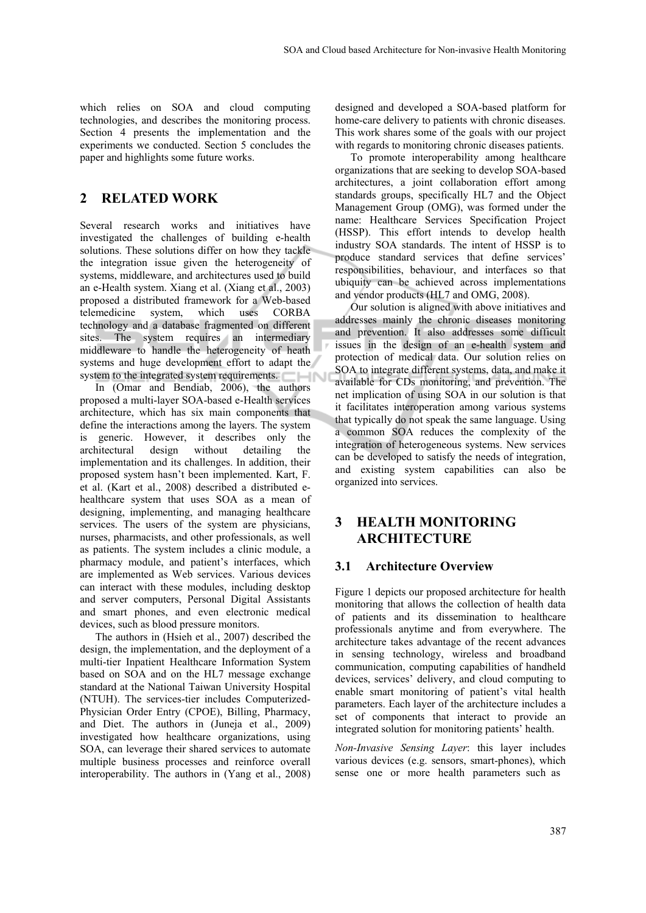which relies on SOA and cloud computing technologies, and describes the monitoring process. Section 4 presents the implementation and the experiments we conducted. Section 5 concludes the paper and highlights some future works.

### **2 RELATED WORK**

Several research works and initiatives have investigated the challenges of building e-health solutions. These solutions differ on how they tackle the integration issue given the heterogeneity of systems, middleware, and architectures used to build an e-Health system. Xiang et al. (Xiang et al., 2003) proposed a distributed framework for a Web-based telemedicine system, which uses CORBA technology and a database fragmented on different sites. The system requires an intermediary middleware to handle the heterogeneity of heath systems and huge development effort to adapt the system to the integrated system requirements.

In (Omar and Bendiab, 2006), the authors proposed a multi-layer SOA-based e-Health services architecture, which has six main components that define the interactions among the layers. The system is generic. However, it describes only the architectural design without detailing the implementation and its challenges. In addition, their proposed system hasn't been implemented. Kart, F. et al. (Kart et al., 2008) described a distributed ehealthcare system that uses SOA as a mean of designing, implementing, and managing healthcare services. The users of the system are physicians, nurses, pharmacists, and other professionals, as well as patients. The system includes a clinic module, a pharmacy module, and patient's interfaces, which are implemented as Web services. Various devices can interact with these modules, including desktop and server computers, Personal Digital Assistants and smart phones, and even electronic medical devices, such as blood pressure monitors.

The authors in (Hsieh et al., 2007) described the design, the implementation, and the deployment of a multi-tier Inpatient Healthcare Information System based on SOA and on the HL7 message exchange standard at the National Taiwan University Hospital (NTUH). The services-tier includes Computerized-Physician Order Entry (CPOE), Billing, Pharmacy, and Diet. The authors in (Juneja et al., 2009) investigated how healthcare organizations, using SOA, can leverage their shared services to automate multiple business processes and reinforce overall interoperability. The authors in (Yang et al., 2008)

designed and developed a SOA-based platform for home-care delivery to patients with chronic diseases. This work shares some of the goals with our project with regards to monitoring chronic diseases patients.

To promote interoperability among healthcare organizations that are seeking to develop SOA-based architectures, a joint collaboration effort among standards groups, specifically HL7 and the Object Management Group (OMG), was formed under the name: Healthcare Services Specification Project (HSSP). This effort intends to develop health industry SOA standards. The intent of HSSP is to produce standard services that define services' responsibilities, behaviour, and interfaces so that ubiquity can be achieved across implementations and vendor products (HL7 and OMG, 2008).

Our solution is aligned with above initiatives and addresses mainly the chronic diseases monitoring and prevention. It also addresses some difficult issues in the design of an e-health system and protection of medical data. Our solution relies on SOA to integrate different systems, data, and make it available for CDs monitoring, and prevention. The net implication of using SOA in our solution is that it facilitates interoperation among various systems that typically do not speak the same language. Using a common SOA reduces the complexity of the integration of heterogeneous systems. New services can be developed to satisfy the needs of integration, and existing system capabilities can also be organized into services.

## **3 HEALTH MONITORING ARCHITECTURE**

### **3.1 Architecture Overview**

Figure 1 depicts our proposed architecture for health monitoring that allows the collection of health data of patients and its dissemination to healthcare professionals anytime and from everywhere. The architecture takes advantage of the recent advances in sensing technology, wireless and broadband communication, computing capabilities of handheld devices, services' delivery, and cloud computing to enable smart monitoring of patient's vital health parameters. Each layer of the architecture includes a set of components that interact to provide an integrated solution for monitoring patients' health.

*Non-Invasive Sensing Layer*: this layer includes various devices (e.g. sensors, smart-phones), which sense one or more health parameters such as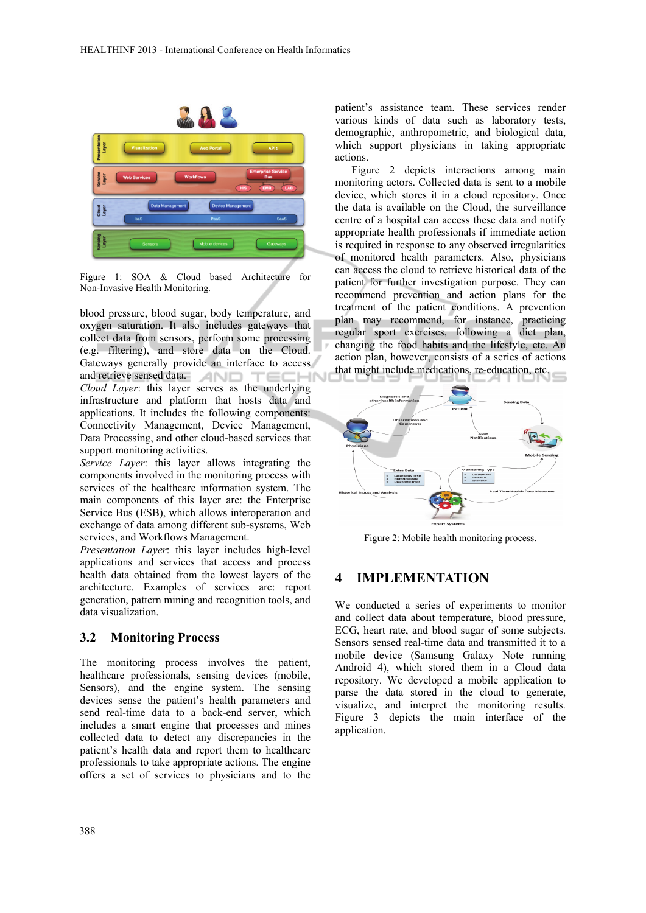

Figure 1: SOA & Cloud based Architecture for Non-Invasive Health Monitoring.

blood pressure, blood sugar, body temperature, and oxygen saturation. It also includes gateways that collect data from sensors, perform some processing (e.g. filtering), and store data on the Cloud. Gateways generally provide an interface to access and retrieve sensed data. AND TECHN *Cloud Layer*: this layer serves as the underlying infrastructure and platform that hosts data and applications. It includes the following components: Connectivity Management, Device Management, Data Processing, and other cloud-based services that support monitoring activities.

*Service Layer*: this layer allows integrating the components involved in the monitoring process with services of the healthcare information system. The main components of this layer are: the Enterprise Service Bus (ESB), which allows interoperation and exchange of data among different sub-systems, Web services, and Workflows Management.

*Presentation Layer*: this layer includes high-level applications and services that access and process health data obtained from the lowest layers of the architecture. Examples of services are: report generation, pattern mining and recognition tools, and data visualization.

#### **3.2 Monitoring Process**

The monitoring process involves the patient, healthcare professionals, sensing devices (mobile, Sensors), and the engine system. The sensing devices sense the patient's health parameters and send real-time data to a back-end server, which includes a smart engine that processes and mines collected data to detect any discrepancies in the patient's health data and report them to healthcare professionals to take appropriate actions. The engine offers a set of services to physicians and to the

patient's assistance team. These services render various kinds of data such as laboratory tests, demographic, anthropometric, and biological data, which support physicians in taking appropriate actions.

Figure 2 depicts interactions among main monitoring actors. Collected data is sent to a mobile device, which stores it in a cloud repository. Once the data is available on the Cloud, the surveillance centre of a hospital can access these data and notify appropriate health professionals if immediate action is required in response to any observed irregularities of monitored health parameters. Also, physicians can access the cloud to retrieve historical data of the patient for further investigation purpose. They can recommend prevention and action plans for the treatment of the patient conditions. A prevention plan may recommend, for instance, practicing regular sport exercises, following a diet plan, changing the food habits and the lifestyle, etc. An action plan, however, consists of a series of actions that might include medications, re-education, etc.



Figure 2: Mobile health monitoring process.

### **4 IMPLEMENTATION**

We conducted a series of experiments to monitor and collect data about temperature, blood pressure, ECG, heart rate, and blood sugar of some subjects. Sensors sensed real-time data and transmitted it to a mobile device (Samsung Galaxy Note running Android 4), which stored them in a Cloud data repository. We developed a mobile application to parse the data stored in the cloud to generate, visualize, and interpret the monitoring results. Figure 3 depicts the main interface of the application.